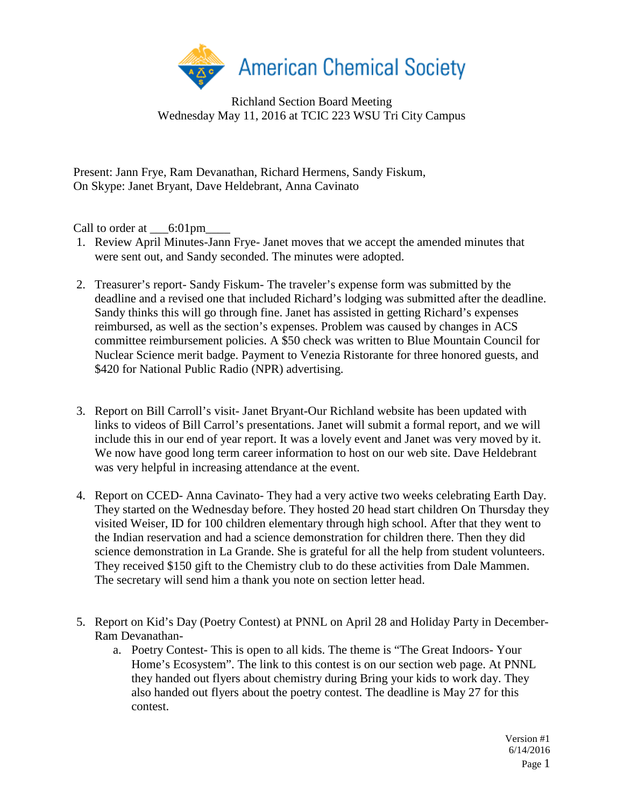

Richland Section Board Meeting Wednesday May 11, 2016 at TCIC 223 WSU Tri City Campus

Present: Jann Frye, Ram Devanathan, Richard Hermens, Sandy Fiskum, On Skype: Janet Bryant, Dave Heldebrant, Anna Cavinato

Call to order at  $\qquad 6:01 \text{pm}$ 

- 1. Review April Minutes-Jann Frye- Janet moves that we accept the amended minutes that were sent out, and Sandy seconded. The minutes were adopted.
- 2. Treasurer's report- Sandy Fiskum- The traveler's expense form was submitted by the deadline and a revised one that included Richard's lodging was submitted after the deadline. Sandy thinks this will go through fine. Janet has assisted in getting Richard's expenses reimbursed, as well as the section's expenses. Problem was caused by changes in ACS committee reimbursement policies. A \$50 check was written to Blue Mountain Council for Nuclear Science merit badge. Payment to Venezia Ristorante for three honored guests, and \$420 for National Public Radio (NPR) advertising.
- 3. Report on Bill Carroll's visit- Janet Bryant-Our Richland website has been updated with links to videos of Bill Carrol's presentations. Janet will submit a formal report, and we will include this in our end of year report. It was a lovely event and Janet was very moved by it. We now have good long term career information to host on our web site. Dave Heldebrant was very helpful in increasing attendance at the event.
- 4. Report on CCED- Anna Cavinato- They had a very active two weeks celebrating Earth Day. They started on the Wednesday before. They hosted 20 head start children On Thursday they visited Weiser, ID for 100 children elementary through high school. After that they went to the Indian reservation and had a science demonstration for children there. Then they did science demonstration in La Grande. She is grateful for all the help from student volunteers. They received \$150 gift to the Chemistry club to do these activities from Dale Mammen. The secretary will send him a thank you note on section letter head.
- 5. Report on Kid's Day (Poetry Contest) at PNNL on April 28 and Holiday Party in December-Ram Devanathan
	- a. Poetry Contest- This is open to all kids. The theme is "The Great Indoors- Your Home's Ecosystem". The link to this contest is on our section web page. At PNNL they handed out flyers about chemistry during Bring your kids to work day. They also handed out flyers about the poetry contest. The deadline is May 27 for this contest.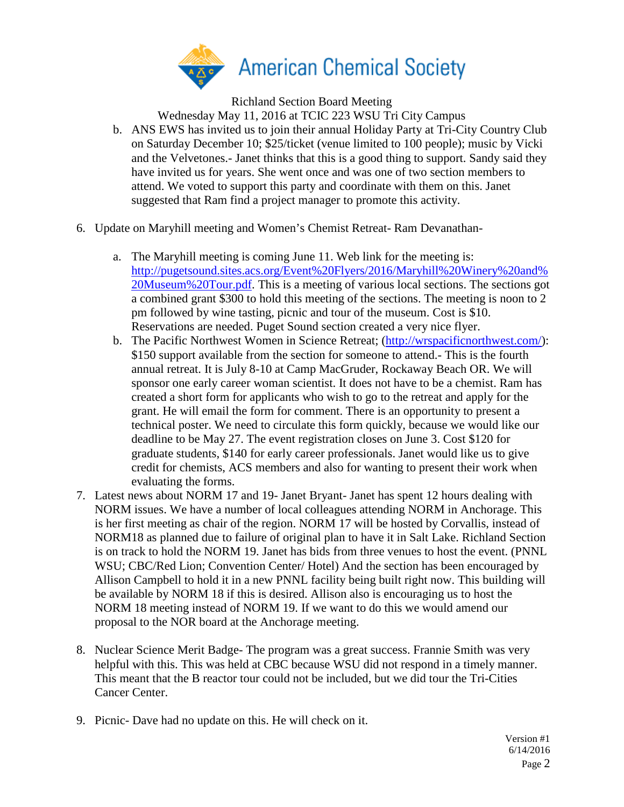

Richland Section Board Meeting

Wednesday May 11, 2016 at TCIC 223 WSU Tri City Campus

- b. ANS EWS has invited us to join their annual Holiday Party at Tri-City Country Club on Saturday December 10; \$25/ticket (venue limited to 100 people); music by Vicki and the Velvetones.- Janet thinks that this is a good thing to support. Sandy said they have invited us for years. She went once and was one of two section members to attend. We voted to support this party and coordinate with them on this. Janet suggested that Ram find a project manager to promote this activity.
- 6. Update on Maryhill meeting and Women's Chemist Retreat- Ram Devanathan
	- a. The Maryhill meeting is coming June 11. Web link for the meeting is: [http://pugetsound.sites.acs.org/Event%20Flyers/2016/Maryhill%20Winery%20and%](http://pugetsound.sites.acs.org/Event%20Flyers/2016/Maryhill%20Winery%20and%20Museum%20Tour.pdf) [20Museum%20Tour.pdf.](http://pugetsound.sites.acs.org/Event%20Flyers/2016/Maryhill%20Winery%20and%20Museum%20Tour.pdf) This is a meeting of various local sections. The sections got a combined grant \$300 to hold this meeting of the sections. The meeting is noon to 2 pm followed by wine tasting, picnic and tour of the museum. Cost is \$10. Reservations are needed. Puget Sound section created a very nice flyer.
	- b. The Pacific Northwest Women in Science Retreat; [\(http://wrspacificnorthwest.com/\)](http://wrspacificnorthwest.com/): \$150 support available from the section for someone to attend.- This is the fourth annual retreat. It is July 8-10 at Camp MacGruder, Rockaway Beach OR. We will sponsor one early career woman scientist. It does not have to be a chemist. Ram has created a short form for applicants who wish to go to the retreat and apply for the grant. He will email the form for comment. There is an opportunity to present a technical poster. We need to circulate this form quickly, because we would like our deadline to be May 27. The event registration closes on June 3. Cost \$120 for graduate students, \$140 for early career professionals. Janet would like us to give credit for chemists, ACS members and also for wanting to present their work when evaluating the forms.
- 7. Latest news about NORM 17 and 19- Janet Bryant- Janet has spent 12 hours dealing with NORM issues. We have a number of local colleagues attending NORM in Anchorage. This is her first meeting as chair of the region. NORM 17 will be hosted by Corvallis, instead of NORM18 as planned due to failure of original plan to have it in Salt Lake. Richland Section is on track to hold the NORM 19. Janet has bids from three venues to host the event. (PNNL WSU; CBC/Red Lion; Convention Center/ Hotel) And the section has been encouraged by Allison Campbell to hold it in a new PNNL facility being built right now. This building will be available by NORM 18 if this is desired. Allison also is encouraging us to host the NORM 18 meeting instead of NORM 19. If we want to do this we would amend our proposal to the NOR board at the Anchorage meeting.
- 8. Nuclear Science Merit Badge- The program was a great success. Frannie Smith was very helpful with this. This was held at CBC because WSU did not respond in a timely manner. This meant that the B reactor tour could not be included, but we did tour the Tri-Cities Cancer Center.
- 9. Picnic- Dave had no update on this. He will check on it.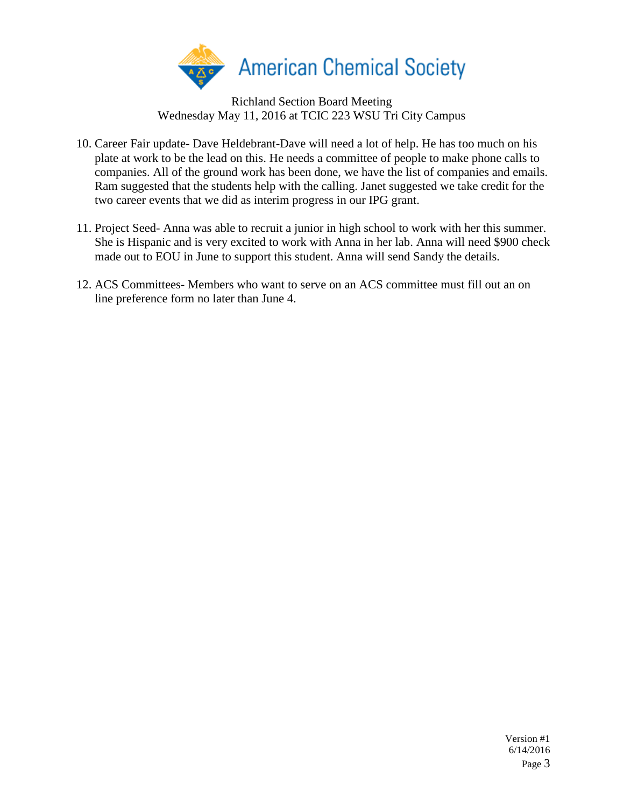

Richland Section Board Meeting Wednesday May 11, 2016 at TCIC 223 WSU Tri City Campus

- 10. Career Fair update- Dave Heldebrant-Dave will need a lot of help. He has too much on his plate at work to be the lead on this. He needs a committee of people to make phone calls to companies. All of the ground work has been done, we have the list of companies and emails. Ram suggested that the students help with the calling. Janet suggested we take credit for the two career events that we did as interim progress in our IPG grant.
- 11. Project Seed- Anna was able to recruit a junior in high school to work with her this summer. She is Hispanic and is very excited to work with Anna in her lab. Anna will need \$900 check made out to EOU in June to support this student. Anna will send Sandy the details.
- 12. ACS Committees- Members who want to serve on an ACS committee must fill out an on line preference form no later than June 4.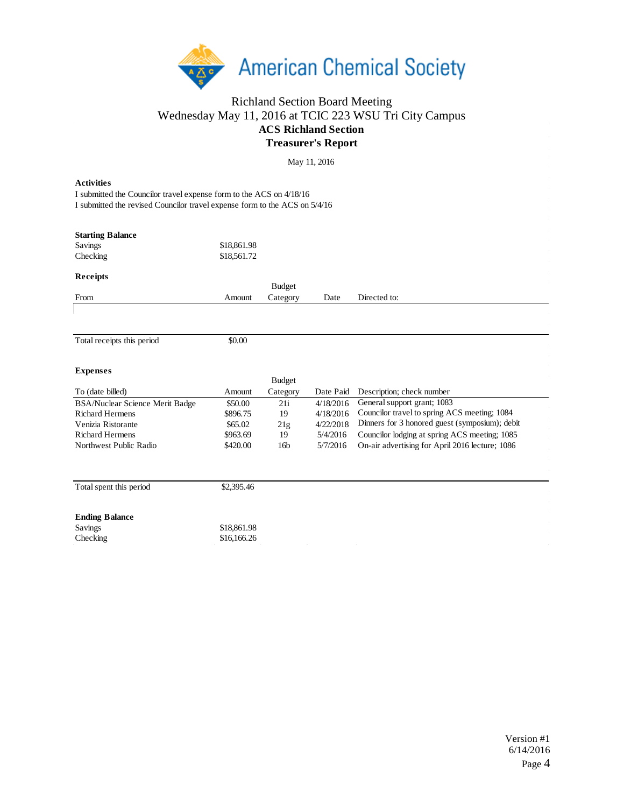

## Richland Section Board Meeting Wednesday May 11, 2016 at TCIC 223 WSU Tri City Campus **ACS Richland Section Treasurer's Report**

 $M<sub>ov</sub> 11, 2016$ 

| <b>Activities</b>                                                          |             |                                                                                                                                                                                                                                                                                                                                                                                                                                                                                           |  |
|----------------------------------------------------------------------------|-------------|-------------------------------------------------------------------------------------------------------------------------------------------------------------------------------------------------------------------------------------------------------------------------------------------------------------------------------------------------------------------------------------------------------------------------------------------------------------------------------------------|--|
| I submitted the Councilor travel expense form to the ACS on 4/18/16        |             |                                                                                                                                                                                                                                                                                                                                                                                                                                                                                           |  |
| I submitted the revised Councilor travel expense form to the ACS on 5/4/16 |             | May 11, 2016<br><b>Budget</b><br>Directed to:<br>Category<br>Date<br><b>Budget</b><br>Category<br>Date Paid<br>Description; check number<br>General support grant; 1083<br>4/18/2016<br>21i<br>Councilor travel to spring ACS meeting; 1084<br>19<br>4/18/2016<br>Dinners for 3 honored guest (symposium); debit<br>4/22/2018<br>21g<br>Councilor lodging at spring ACS meeting; 1085<br>19<br>5/4/2016<br>5/7/2016<br>On-air advertising for April 2016 lecture; 1086<br>16 <sub>b</sub> |  |
|                                                                            |             |                                                                                                                                                                                                                                                                                                                                                                                                                                                                                           |  |
| <b>Starting Balance</b>                                                    |             |                                                                                                                                                                                                                                                                                                                                                                                                                                                                                           |  |
| Savings                                                                    | \$18,861.98 |                                                                                                                                                                                                                                                                                                                                                                                                                                                                                           |  |
| Checking                                                                   | \$18,561.72 |                                                                                                                                                                                                                                                                                                                                                                                                                                                                                           |  |
| <b>Receipts</b>                                                            |             |                                                                                                                                                                                                                                                                                                                                                                                                                                                                                           |  |
|                                                                            |             |                                                                                                                                                                                                                                                                                                                                                                                                                                                                                           |  |
| From                                                                       | Amount      |                                                                                                                                                                                                                                                                                                                                                                                                                                                                                           |  |
|                                                                            |             |                                                                                                                                                                                                                                                                                                                                                                                                                                                                                           |  |
|                                                                            |             |                                                                                                                                                                                                                                                                                                                                                                                                                                                                                           |  |
| Total receipts this period                                                 | \$0.00      |                                                                                                                                                                                                                                                                                                                                                                                                                                                                                           |  |
|                                                                            |             |                                                                                                                                                                                                                                                                                                                                                                                                                                                                                           |  |
| <b>Expenses</b>                                                            |             |                                                                                                                                                                                                                                                                                                                                                                                                                                                                                           |  |
|                                                                            |             |                                                                                                                                                                                                                                                                                                                                                                                                                                                                                           |  |
| To (date billed)                                                           | Amount      |                                                                                                                                                                                                                                                                                                                                                                                                                                                                                           |  |
| BSA/Nuclear Science Merit Badge                                            | \$50.00     |                                                                                                                                                                                                                                                                                                                                                                                                                                                                                           |  |
| <b>Richard Hermens</b>                                                     | \$896.75    |                                                                                                                                                                                                                                                                                                                                                                                                                                                                                           |  |
| Venizia Ristorante                                                         | \$65.02     |                                                                                                                                                                                                                                                                                                                                                                                                                                                                                           |  |
| <b>Richard Hermens</b>                                                     | \$963.69    |                                                                                                                                                                                                                                                                                                                                                                                                                                                                                           |  |
| Northwest Public Radio                                                     | \$420.00    |                                                                                                                                                                                                                                                                                                                                                                                                                                                                                           |  |
|                                                                            |             |                                                                                                                                                                                                                                                                                                                                                                                                                                                                                           |  |
| Total spent this period                                                    | \$2,395.46  |                                                                                                                                                                                                                                                                                                                                                                                                                                                                                           |  |
| <b>Ending Balance</b>                                                      |             |                                                                                                                                                                                                                                                                                                                                                                                                                                                                                           |  |
| Savings                                                                    | \$18,861.98 |                                                                                                                                                                                                                                                                                                                                                                                                                                                                                           |  |
| Checking                                                                   | \$16,166.26 |                                                                                                                                                                                                                                                                                                                                                                                                                                                                                           |  |